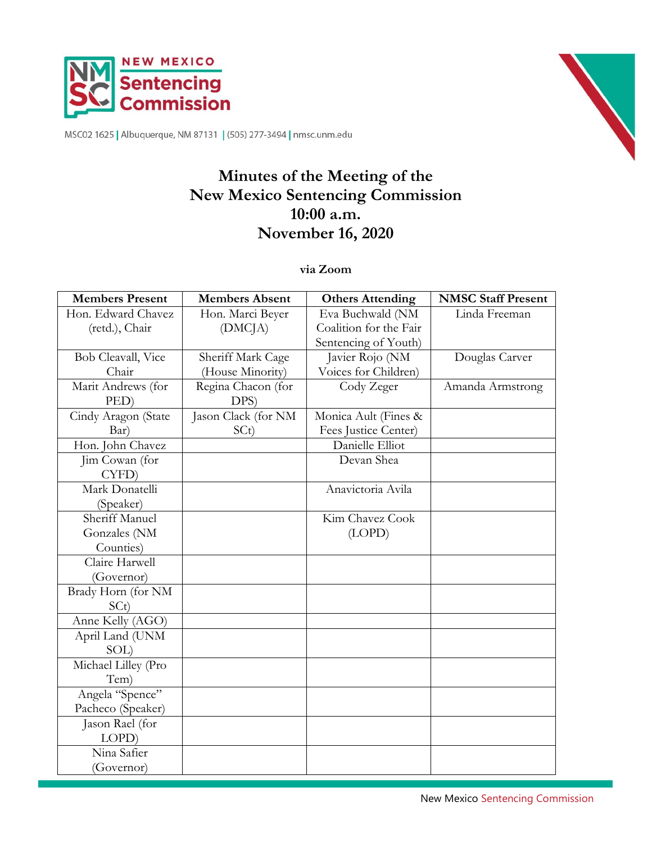



MSC02 1625 | Albuquerque, NM 87131 | (505) 277-3494 | nmsc.unm.edu

# **Minutes of the Meeting of the New Mexico Sentencing Commission 10:00 a.m. November 16, 2020**

### **via Zoom**

| <b>Members Present</b> | <b>Members Absent</b> | <b>Others Attending</b> | <b>NMSC Staff Present</b> |
|------------------------|-----------------------|-------------------------|---------------------------|
| Hon. Edward Chavez     | Hon. Marci Beyer      | Eva Buchwald (NM        | Linda Freeman             |
| (retd.), Chair         | (DMCJA)               | Coalition for the Fair  |                           |
|                        |                       | Sentencing of Youth)    |                           |
| Bob Cleavall, Vice     | Sheriff Mark Cage     | Javier Rojo (NM         | Douglas Carver            |
| Chair                  | (House Minority)      | Voices for Children)    |                           |
| Marit Andrews (for     | Regina Chacon (for    | Cody Zeger              | Amanda Armstrong          |
| PED)                   | DPS)                  |                         |                           |
| Cindy Aragon (State    | Jason Clack (for NM   | Monica Ault (Fines &    |                           |
| Bar)                   | SCt)                  | Fees Justice Center)    |                           |
| Hon. John Chavez       |                       | Danielle Elliot         |                           |
| Jim Cowan (for         |                       | Devan Shea              |                           |
| CYFD)                  |                       |                         |                           |
| Mark Donatelli         |                       | Anavictoria Avila       |                           |
| (Speaker)              |                       |                         |                           |
| Sheriff Manuel         |                       | Kim Chavez Cook         |                           |
| Gonzales (NM           |                       | (LOPD)                  |                           |
| Counties)              |                       |                         |                           |
| Claire Harwell         |                       |                         |                           |
| (Governor)             |                       |                         |                           |
| Brady Horn (for NM     |                       |                         |                           |
| SCt)                   |                       |                         |                           |
| Anne Kelly (AGO)       |                       |                         |                           |
| April Land (UNM        |                       |                         |                           |
| SOL)                   |                       |                         |                           |
| Michael Lilley (Pro    |                       |                         |                           |
| Tem)                   |                       |                         |                           |
| Angela "Spence"        |                       |                         |                           |
| Pacheco (Speaker)      |                       |                         |                           |
| Jason Rael (for        |                       |                         |                           |
| LOPD)                  |                       |                         |                           |
| Nina Safier            |                       |                         |                           |
| (Governor)             |                       |                         |                           |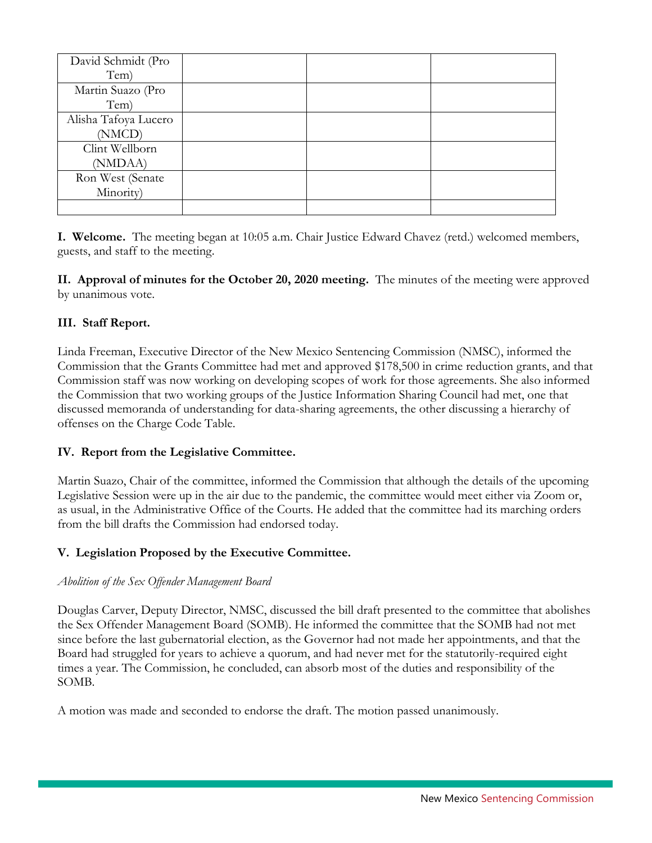| David Schmidt (Pro   |  |  |
|----------------------|--|--|
| Tem)                 |  |  |
| Martin Suazo (Pro    |  |  |
| Tem)                 |  |  |
| Alisha Tafoya Lucero |  |  |
| (NMCD)               |  |  |
| Clint Wellborn       |  |  |
| (NMDAA)              |  |  |
| Ron West (Senate     |  |  |
| Minority)            |  |  |
|                      |  |  |

**I. Welcome.** The meeting began at 10:05 a.m. Chair Justice Edward Chavez (retd.) welcomed members, guests, and staff to the meeting.

**II. Approval of minutes for the October 20, 2020 meeting.** The minutes of the meeting were approved by unanimous vote.

# **III. Staff Report.**

Linda Freeman, Executive Director of the New Mexico Sentencing Commission (NMSC), informed the Commission that the Grants Committee had met and approved \$178,500 in crime reduction grants, and that Commission staff was now working on developing scopes of work for those agreements. She also informed the Commission that two working groups of the Justice Information Sharing Council had met, one that discussed memoranda of understanding for data-sharing agreements, the other discussing a hierarchy of offenses on the Charge Code Table.

### **IV. Report from the Legislative Committee.**

Martin Suazo, Chair of the committee, informed the Commission that although the details of the upcoming Legislative Session were up in the air due to the pandemic, the committee would meet either via Zoom or, as usual, in the Administrative Office of the Courts. He added that the committee had its marching orders from the bill drafts the Commission had endorsed today.

### **V. Legislation Proposed by the Executive Committee.**

### *Abolition of the Sex Offender Management Board*

Douglas Carver, Deputy Director, NMSC, discussed the bill draft presented to the committee that abolishes the Sex Offender Management Board (SOMB). He informed the committee that the SOMB had not met since before the last gubernatorial election, as the Governor had not made her appointments, and that the Board had struggled for years to achieve a quorum, and had never met for the statutorily-required eight times a year. The Commission, he concluded, can absorb most of the duties and responsibility of the SOMB.

A motion was made and seconded to endorse the draft. The motion passed unanimously.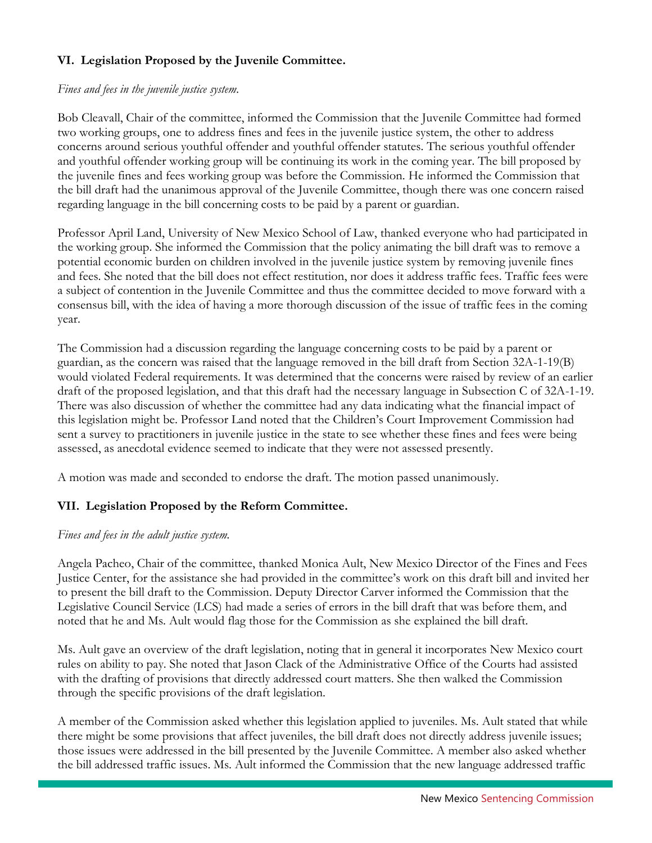# **VI. Legislation Proposed by the Juvenile Committee.**

#### *Fines and fees in the juvenile justice system.*

Bob Cleavall, Chair of the committee, informed the Commission that the Juvenile Committee had formed two working groups, one to address fines and fees in the juvenile justice system, the other to address concerns around serious youthful offender and youthful offender statutes. The serious youthful offender and youthful offender working group will be continuing its work in the coming year. The bill proposed by the juvenile fines and fees working group was before the Commission. He informed the Commission that the bill draft had the unanimous approval of the Juvenile Committee, though there was one concern raised regarding language in the bill concerning costs to be paid by a parent or guardian.

Professor April Land, University of New Mexico School of Law, thanked everyone who had participated in the working group. She informed the Commission that the policy animating the bill draft was to remove a potential economic burden on children involved in the juvenile justice system by removing juvenile fines and fees. She noted that the bill does not effect restitution, nor does it address traffic fees. Traffic fees were a subject of contention in the Juvenile Committee and thus the committee decided to move forward with a consensus bill, with the idea of having a more thorough discussion of the issue of traffic fees in the coming year.

The Commission had a discussion regarding the language concerning costs to be paid by a parent or guardian, as the concern was raised that the language removed in the bill draft from Section 32A-1-19(B) would violated Federal requirements. It was determined that the concerns were raised by review of an earlier draft of the proposed legislation, and that this draft had the necessary language in Subsection C of 32A-1-19. There was also discussion of whether the committee had any data indicating what the financial impact of this legislation might be. Professor Land noted that the Children's Court Improvement Commission had sent a survey to practitioners in juvenile justice in the state to see whether these fines and fees were being assessed, as anecdotal evidence seemed to indicate that they were not assessed presently.

A motion was made and seconded to endorse the draft. The motion passed unanimously.

# **VII. Legislation Proposed by the Reform Committee.**

#### *Fines and fees in the adult justice system.*

Angela Pacheo, Chair of the committee, thanked Monica Ault, New Mexico Director of the Fines and Fees Justice Center, for the assistance she had provided in the committee's work on this draft bill and invited her to present the bill draft to the Commission. Deputy Director Carver informed the Commission that the Legislative Council Service (LCS) had made a series of errors in the bill draft that was before them, and noted that he and Ms. Ault would flag those for the Commission as she explained the bill draft.

Ms. Ault gave an overview of the draft legislation, noting that in general it incorporates New Mexico court rules on ability to pay. She noted that Jason Clack of the Administrative Office of the Courts had assisted with the drafting of provisions that directly addressed court matters. She then walked the Commission through the specific provisions of the draft legislation.

A member of the Commission asked whether this legislation applied to juveniles. Ms. Ault stated that while there might be some provisions that affect juveniles, the bill draft does not directly address juvenile issues; those issues were addressed in the bill presented by the Juvenile Committee. A member also asked whether the bill addressed traffic issues. Ms. Ault informed the Commission that the new language addressed traffic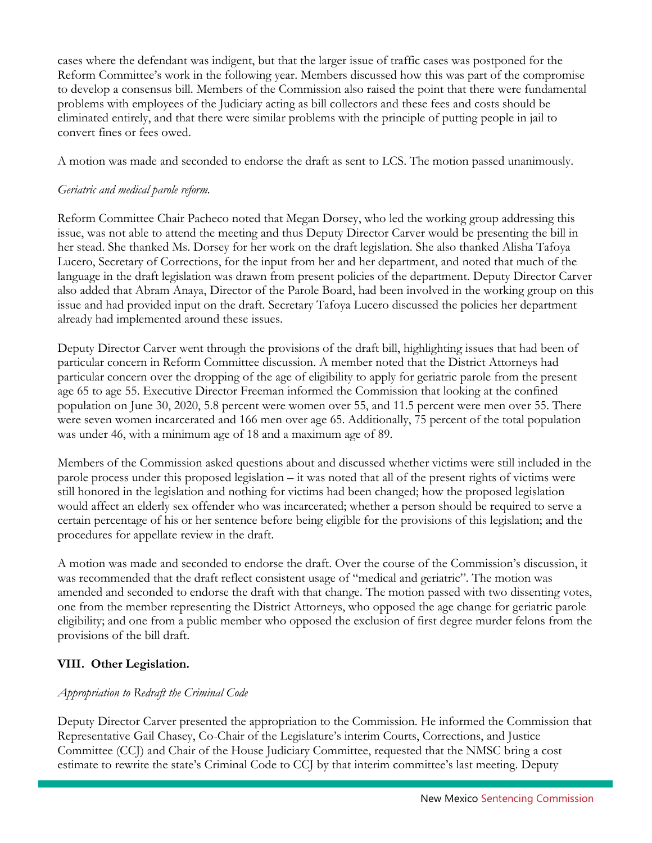cases where the defendant was indigent, but that the larger issue of traffic cases was postponed for the Reform Committee's work in the following year. Members discussed how this was part of the compromise to develop a consensus bill. Members of the Commission also raised the point that there were fundamental problems with employees of the Judiciary acting as bill collectors and these fees and costs should be eliminated entirely, and that there were similar problems with the principle of putting people in jail to convert fines or fees owed.

A motion was made and seconded to endorse the draft as sent to LCS. The motion passed unanimously.

# *Geriatric and medical parole reform.*

Reform Committee Chair Pacheco noted that Megan Dorsey, who led the working group addressing this issue, was not able to attend the meeting and thus Deputy Director Carver would be presenting the bill in her stead. She thanked Ms. Dorsey for her work on the draft legislation. She also thanked Alisha Tafoya Lucero, Secretary of Corrections, for the input from her and her department, and noted that much of the language in the draft legislation was drawn from present policies of the department. Deputy Director Carver also added that Abram Anaya, Director of the Parole Board, had been involved in the working group on this issue and had provided input on the draft. Secretary Tafoya Lucero discussed the policies her department already had implemented around these issues.

Deputy Director Carver went through the provisions of the draft bill, highlighting issues that had been of particular concern in Reform Committee discussion. A member noted that the District Attorneys had particular concern over the dropping of the age of eligibility to apply for geriatric parole from the present age 65 to age 55. Executive Director Freeman informed the Commission that looking at the confined population on June 30, 2020, 5.8 percent were women over 55, and 11.5 percent were men over 55. There were seven women incarcerated and 166 men over age 65. Additionally, 75 percent of the total population was under 46, with a minimum age of 18 and a maximum age of 89.

Members of the Commission asked questions about and discussed whether victims were still included in the parole process under this proposed legislation – it was noted that all of the present rights of victims were still honored in the legislation and nothing for victims had been changed; how the proposed legislation would affect an elderly sex offender who was incarcerated; whether a person should be required to serve a certain percentage of his or her sentence before being eligible for the provisions of this legislation; and the procedures for appellate review in the draft.

A motion was made and seconded to endorse the draft. Over the course of the Commission's discussion, it was recommended that the draft reflect consistent usage of "medical and geriatric". The motion was amended and seconded to endorse the draft with that change. The motion passed with two dissenting votes, one from the member representing the District Attorneys, who opposed the age change for geriatric parole eligibility; and one from a public member who opposed the exclusion of first degree murder felons from the provisions of the bill draft.

# **VIII. Other Legislation.**

# *Appropriation to Redraft the Criminal Code*

Deputy Director Carver presented the appropriation to the Commission. He informed the Commission that Representative Gail Chasey, Co-Chair of the Legislature's interim Courts, Corrections, and Justice Committee (CCJ) and Chair of the House Judiciary Committee, requested that the NMSC bring a cost estimate to rewrite the state's Criminal Code to CCJ by that interim committee's last meeting. Deputy